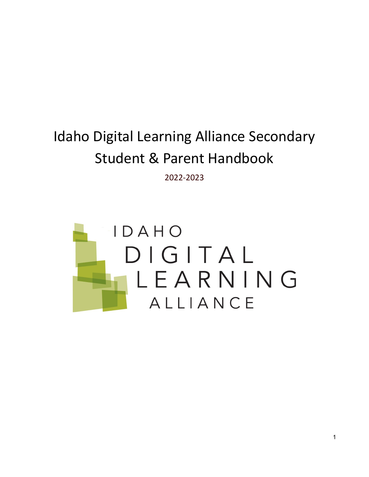# Idaho Digital Learning Alliance Secondary Student & Parent Handbook

2022-2023

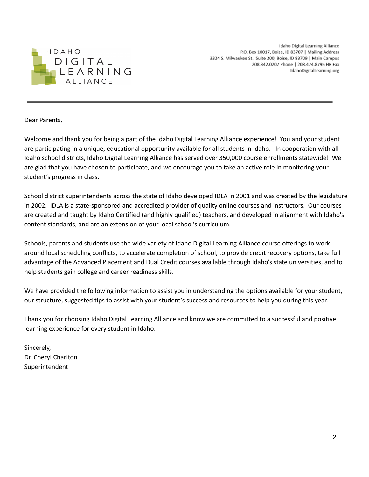

Idaho Digital Learning Alliance P.O. Box 10017, Boise, ID 83707 | Mailing Address 3324 S. Milwaukee St.. Suite 200, Boise, ID 83709 | Main Campus 208.342.0207 Phone | 208.474.8795 HR Fax IdahoDigitalLearning.org

Dear Parents,

Welcome and thank you for being a part of the Idaho Digital Learning Alliance experience! You and your student are participating in a unique, educational opportunity available for all students in Idaho. In cooperation with all Idaho school districts, Idaho Digital Learning Alliance has served over 350,000 course enrollments statewide! We are glad that you have chosen to participate, and we encourage you to take an active role in monitoring your student's progress in class.

School district superintendents across the state of Idaho developed IDLA in 2001 and was created by the legislature in 2002. IDLA is a state-sponsored and accredited provider of quality online courses and instructors. Our courses are created and taught by Idaho Certified (and highly qualified) teachers, and developed in alignment with Idaho's content standards, and are an extension of your local school's curriculum.

Schools, parents and students use the wide variety of Idaho Digital Learning Alliance course offerings to work around local scheduling conflicts, to accelerate completion of school, to provide credit recovery options, take full advantage of the Advanced Placement and Dual Credit courses available through Idaho's state universities, and to help students gain college and career readiness skills.

We have provided the following information to assist you in understanding the options available for your student, our structure, suggested tips to assist with your student's success and resources to help you during this year.

Thank you for choosing Idaho Digital Learning Alliance and know we are committed to a successful and positive learning experience for every student in Idaho.

Sincerely, Dr. Cheryl Charlton Superintendent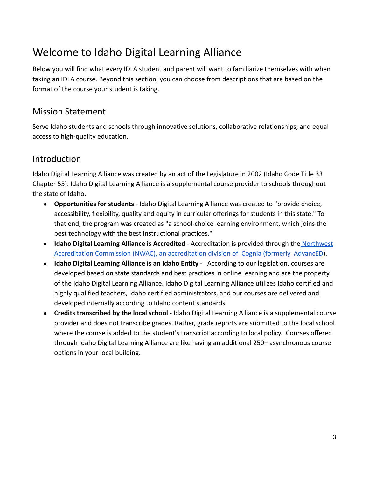# <span id="page-2-0"></span>Welcome to Idaho Digital Learning Alliance

Below you will find what every IDLA student and parent will want to familiarize themselves with when taking an IDLA course. Beyond this section, you can choose from descriptions that are based on the format of the course your student is taking.

## <span id="page-2-1"></span>Mission Statement

Serve Idaho students and schools through innovative solutions, collaborative relationships, and equal access to high-quality education.

## <span id="page-2-2"></span>Introduction

Idaho Digital Learning Alliance was created by an act of the Legislature in 2002 (Idaho Code Title 33 Chapter 55). Idaho Digital Learning Alliance is a supplemental course provider to schools throughout the state of Idaho.

- **Opportunities for students** Idaho Digital Learning Alliance was created to "provide choice, accessibility, flexibility, quality and equity in curricular offerings for students in this state." To that end, the program was created as "a school-choice learning environment, which joins the best technology with the best instructional practices."
- **Idaho Digital Learning Alliance is Accredited** Accreditation is provided through the [Northwest](https://www.cognia.org/services/accreditation-certification/) [Accreditation Commission \(NWAC\), an accreditation division of Cognia \(formerly AdvancED](https://www.cognia.org/services/accreditation-certification/)).
- **Idaho Digital Learning Alliance is an Idaho Entity** According to our legislation, courses are developed based on state standards and best practices in online learning and are the property of the Idaho Digital Learning Alliance. Idaho Digital Learning Alliance utilizes Idaho certified and highly qualified teachers, Idaho certified administrators, and our courses are delivered and developed internally according to Idaho content standards.
- **Credits transcribed by the local school** Idaho Digital Learning Alliance is a supplemental course provider and does not transcribe grades. Rather, grade reports are submitted to the local school where the course is added to the student's transcript according to local policy. Courses offered through Idaho Digital Learning Alliance are like having an additional 250+ asynchronous course options in your local building.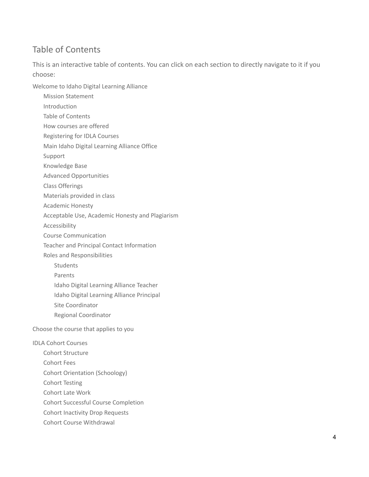# <span id="page-3-0"></span>Table of Contents

This is an interactive table of contents. You can click on each section to directly navigate to it if you choose:

[Welcome](#page-2-0) to Idaho Digital Learning Alliance

- Mission [Statement](#page-2-1)
- [Introduction](#page-2-2)
- Table of [Contents](#page-3-0)
- How [courses](#page-5-0) are offered
- [Registering](#page-6-0) for IDLA Courses
- Main Idaho Digital [Learning](#page-6-1) Alliance Office
- [Support](#page-6-2)
- [Knowledge](#page-7-0) Base
- Advanced [Opportunities](#page-7-1)
- Class [Offerings](#page-7-2)
- [Materials](#page-7-3) provided in class
- [Academic](#page-7-4) Honesty
- [Acceptable](#page-8-0) Use, Academic Honesty and Plagiarism
- [Accessibility](#page-9-0)
- Course [Communication](#page-10-0)
- Teacher and Principal Contact [Information](#page-10-1)
- Roles and [Responsibilities](#page-11-0)
	- **[Students](#page-11-1)**
	- [Parents](#page-12-0)
	- Idaho Digital [Learning](#page-12-1) Alliance Teacher
	- Idaho Digital Learning Alliance [Principal](#page-13-0)
	- Site [Coordinator](#page-13-1)
	- Regional [Coordinator](#page-13-2)

[Choose](#page-14-0) the course that applies to you

#### IDLA Cohort [Courses](#page-15-0)

- Cohort [Structure](#page-15-1)
- [Cohort](#page-15-2) Fees
- Cohort Orientation [\(Schoology\)](#page-16-0)
- Cohort [Testing](#page-16-1)
- [Cohort](#page-16-2) Late Work
- Cohort Successful Course [Completion](#page-16-3)
- Cohort [Inactivity](#page-16-4) Drop Requests
- Cohort Course [Withdrawal](#page-17-0)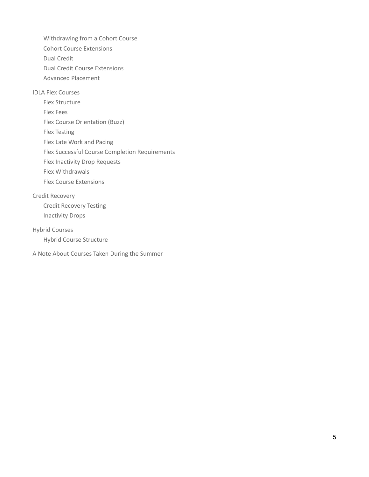[Withdrawing](#page-17-1) from a Cohort Course Cohort Course [Extensions](#page-17-2) Dual [Credit](#page-17-3) Dual Credit Course [Extensions](#page-18-0)

Advanced [Placement](#page-19-0)

#### IDLA Flex [Courses](#page-20-0)

Flex [Structure](#page-20-1)

Flex [Fees](#page-20-2)

Flex Course [Orientation](#page-21-0) (Buzz)

Flex [Testing](#page-21-1)

Flex Late Work and [Pacing](#page-21-2)

Flex Successful Course Completion [Requirements](#page-21-3)

Flex [Inactivity](#page-21-4) Drop Requests

Flex [Withdrawals](#page-21-5)

Flex Course [Extensions](#page-22-0)

#### Credit [Recovery](#page-23-0)

Credit [Recovery](#page-23-1) Testing [Inactivity](#page-23-2) Drops

#### Hybrid [Courses](#page-24-0)

Hybrid Course [Structure](#page-24-1)

A Note About Courses Taken During the [Summer](#page-25-0)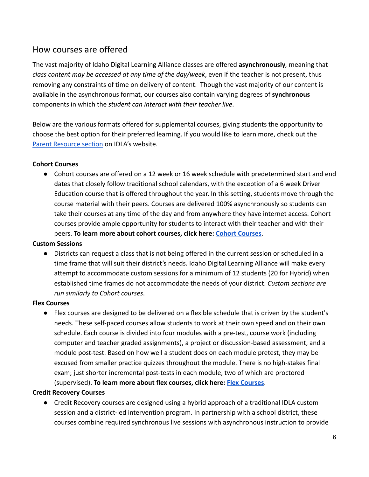# <span id="page-5-0"></span>How courses are offered

The vast majority of Idaho Digital Learning Alliance classes are offered **asynchronously***,* meaning that *class content may be accessed at any time of the day/week*, even if the teacher is not present, thus removing any constraints of time on delivery of content. Though the vast majority of our content is available in the asynchronous format, our courses also contain varying degrees of **synchronous** components in which the *student can interact with their teacher live*.

Below are the various formats offered for supplemental courses, giving students the opportunity to choose the best option for their preferred learning. If you would like to learn more, check out the [Parent Resource section](https://www.idahodigitallearning.org/students-parents/resources/) on IDLA's website.

### **Cohort Courses**

● Cohort courses are offered on a 12 week or 16 week schedule with predetermined start and end dates that closely follow traditional school calendars, with the exception of a 6 week Driver Education course that is offered throughout the year. In this setting, students move through the course material with their peers. Courses are delivered 100% asynchronously so students can take their courses at any time of the day and from anywhere they have internet access. Cohort courses provide ample opportunity for students to interact with their teacher and with their peers. **To learn more about cohort courses, click here: [Cohort Courses](#page-15-0)**.

### **Custom Sessions**

● Districts can request a class that is not being offered in the current session or scheduled in a time frame that will suit their district's needs. Idaho Digital Learning Alliance will make every attempt to accommodate custom sessions for a minimum of 12 students (20 for Hybrid) when established time frames do not accommodate the needs of your district. *Custom sections are run similarly to Cohort courses*.

### **Flex Courses**

● Flex courses are designed to be delivered on a flexible schedule that is driven by the student's needs. These self-paced courses allow students to work at their own speed and on their own schedule. Each course is divided into four modules with a pre-test, course work (including computer and teacher graded assignments), a project or discussion-based assessment, and a module post-test. Based on how well a student does on each module pretest, they may be excused from smaller practice quizzes throughout the module. There is no high-stakes final exam; just shorter incremental post-tests in each module, two of which are proctored (supervised). **To learn more about flex courses, click here: [Flex Courses](#page-20-0)**.

### **Credit Recovery Courses**

● Credit Recovery courses are designed using a hybrid approach of a traditional IDLA custom session and a district-led intervention program. In partnership with a school district, these courses combine required synchronous live sessions with asynchronous instruction to provide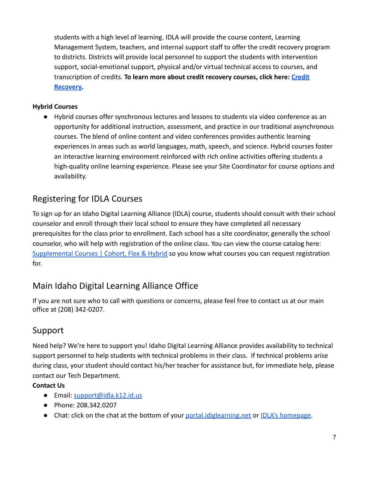students with a high level of learning. IDLA will provide the course content, Learning Management System, teachers, and internal support staff to offer the credit recovery program to districts. Districts will provide local personnel to support the students with intervention support, social-emotional support, physical and/or virtual technical access to courses, and transcription of credits. **To learn more about credit recovery courses, click here: [Credit](#page-23-0) [Recovery.](#page-23-0)**

## **Hybrid Courses**

● Hybrid courses offer synchronous lectures and lessons to students via video conference as an opportunity for additional instruction, assessment, and practice in our traditional asynchronous courses. The blend of online content and video conferences provides authentic learning experiences in areas such as world languages, math, speech, and science. Hybrid courses foster an interactive learning environment reinforced with rich online activities offering students a high-quality online learning experience. Please see your Site Coordinator for course options and availability.

# <span id="page-6-0"></span>Registering for IDLA Courses

To sign up for an Idaho Digital Learning Alliance (IDLA) course, students should consult with their school counselor and enroll through their local school to ensure they have completed all necessary prerequisites for the class prior to enrollment. Each school has a site coordinator, generally the school counselor, who will help with registration of the online class. You can view the course catalog here: [Supplemental Courses | Cohort, Flex & Hybrid](https://portal.idiglearning.net/catalog) so you know what courses you can request registration for.

# <span id="page-6-1"></span>Main Idaho Digital Learning Alliance Office

If you are not sure who to call with questions or concerns, please feel free to contact us at our main office at (208) 342-0207.

# <span id="page-6-2"></span>Support

Need help? We're here to support you! Idaho Digital Learning Alliance provides availability to technical support personnel to help students with technical problems in their class. If technical problems arise during class, your student should contact his/her teacher for assistance but, for immediate help, please contact our Tech Department.

### **Contact Us**

- Email: [support@idla.k12.id.us](mailto:support@idla.k12.id.us)
- Phone: 208.342.0207
- Chat: click on the chat at the bottom of your [portal.idiglearning.net](https://portal.idiglearning.net/) or [IDLA's homepage](https://www.idahodigitallearning.org/).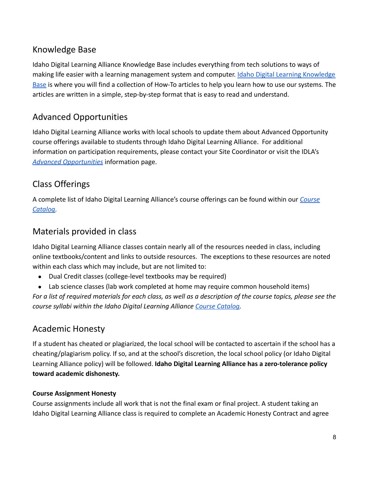# <span id="page-7-0"></span>Knowledge Base

Idaho Digital Learning Alliance Knowledge Base includes everything from tech solutions to ways of making life easier with a learning management system and computer. [Idaho Digital Learning Knowledge](https://sites.google.com/idla.k12.id.us/knowledge-base/students-parents?authuser=0) [Base](https://sites.google.com/idla.k12.id.us/knowledge-base/students-parents?authuser=0) is where you will find a collection of How-To articles to help you learn how to use our systems. The articles are written in a simple, step-by-step format that is easy to read and understand.

# <span id="page-7-1"></span>Advanced Opportunities

Idaho Digital Learning Alliance works with local schools to update them about Advanced Opportunity course offerings available to students through Idaho Digital Learning Alliance. For additional information on participation requirements, please contact your Site Coordinator or visit the IDLA's *[Advanced Opportunities](https://www.idahodigitallearning.org/students-parents/advanced-opportunities/)* information page.

# <span id="page-7-2"></span>Class Offerings

A complete list of Idaho Digital Learning Alliance's course offerings can be found within our *[Course](https://portal.idiglearning.net/catalog) [Catalog](https://portal.idiglearning.net/catalog)*.

# <span id="page-7-3"></span>Materials provided in class

Idaho Digital Learning Alliance classes contain nearly all of the resources needed in class, including online textbooks/content and links to outside resources. The exceptions to these resources are noted within each class which may include, but are not limited to:

- Dual Credit classes (college-level textbooks may be required)
- Lab science classes (lab work completed at home may require common household items)

*For a list of required materials for each class, as well as a description of the course topics, please see the course syllabi within the Idaho Digital Learning Alliance [Course Catalog.](https://portal.idiglearning.net/catalog)*

# <span id="page-7-4"></span>Academic Honesty

If a student has cheated or plagiarized, the local school will be contacted to ascertain if the school has a cheating/plagiarism policy. If so, and at the school's discretion, the local school policy (or Idaho Digital Learning Alliance policy) will be followed. **Idaho Digital Learning Alliance has a zero-tolerance policy toward academic dishonesty.**

### **Course Assignment Honesty**

Course assignments include all work that is not the final exam or final project. A student taking an Idaho Digital Learning Alliance class is required to complete an Academic Honesty Contract and agree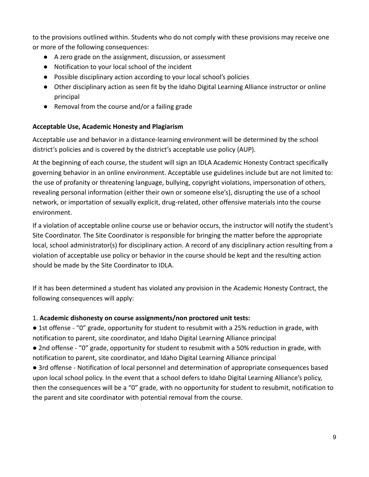to the provisions outlined within. Students who do not comply with these provisions may receive one or more of the following consequences:

- A zero grade on the assignment, discussion, or assessment
- Notification to your local school of the incident
- Possible disciplinary action according to your local school's policies
- Other disciplinary action as seen fit by the Idaho Digital Learning Alliance instructor or online principal
- Removal from the course and/or a failing grade

#### <span id="page-8-0"></span>**Acceptable Use, Academic Honesty and Plagiarism**

Acceptable use and behavior in a distance-learning environment will be determined by the school district's policies and is covered by the district's acceptable use policy (AUP).

At the beginning of each course, the student will sign an IDLA Academic Honesty Contract specifically governing behavior in an online environment. Acceptable use guidelines include but are not limited to: the use of profanity or threatening language, bullying, copyright violations, impersonation of others, revealing personal information (either their own or someone else's), disrupting the use of a school network, or importation of sexually explicit, drug-related, other offensive materials into the course environment.

If a violation of acceptable online course use or behavior occurs, the instructor will notify the student's Site Coordinator. The Site Coordinator is responsible for bringing the matter before the appropriate local, school administrator(s) for disciplinary action. A record of any disciplinary action resulting from a violation of acceptable use policy or behavior in the course should be kept and the resulting action should be made by the Site Coordinator to IDLA.

If it has been determined a student has violated any provision in the Academic Honesty Contract, the following consequences will apply:

### 1. **Academic dishonesty on course assignments/non proctored unit tests:**

● 1st offense - "0" grade, opportunity for student to resubmit with a 25% reduction in grade, with notification to parent, site coordinator, and Idaho Digital Learning Alliance principal

● 2nd offense - "0" grade, opportunity for student to resubmit with a 50% reduction in grade, with notification to parent, site coordinator, and Idaho Digital Learning Alliance principal

● 3rd offense - Notification of local personnel and determination of appropriate consequences based upon local school policy. In the event that a school defers to Idaho Digital Learning Alliance's policy, then the consequences will be a "0" grade, with no opportunity for student to resubmit, notification to the parent and site coordinator with potential removal from the course.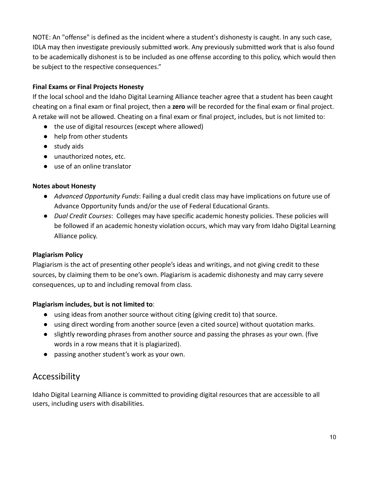NOTE: An "offense" is defined as the incident where a student's dishonesty is caught. In any such case, IDLA may then investigate previously submitted work. Any previously submitted work that is also found to be academically dishonest is to be included as one offense according to this policy, which would then be subject to the respective consequences."

### **Final Exams or Final Projects Honesty**

If the local school and the Idaho Digital Learning Alliance teacher agree that a student has been caught cheating on a final exam or final project, then a **zero** will be recorded for the final exam or final project. A retake will not be allowed. Cheating on a final exam or final project, includes, but is not limited to:

- the use of digital resources (except where allowed)
- help from other students
- study aids
- unauthorized notes, etc.
- use of an online translator

### **Notes about Honesty**

- *Advanced Opportunity Funds*: Failing a dual credit class may have implications on future use of Advance Opportunity funds and/or the use of Federal Educational Grants.
- *Dual Credit Courses*: Colleges may have specific academic honesty policies. These policies will be followed if an academic honesty violation occurs, which may vary from Idaho Digital Learning Alliance policy.

### **Plagiarism Policy**

Plagiarism is the act of presenting other people's ideas and writings, and not giving credit to these sources, by claiming them to be one's own. Plagiarism is academic dishonesty and may carry severe consequences, up to and including removal from class.

### **Plagiarism includes, but is not limited to**:

- using ideas from another source without citing (giving credit to) that source.
- using direct wording from another source (even a cited source) without quotation marks.
- slightly rewording phrases from another source and passing the phrases as your own. (five words in a row means that it is plagiarized).
- passing another student's work as your own.

## <span id="page-9-0"></span>Accessibility

Idaho Digital Learning Alliance is committed to providing digital resources that are accessible to all users, including users with disabilities.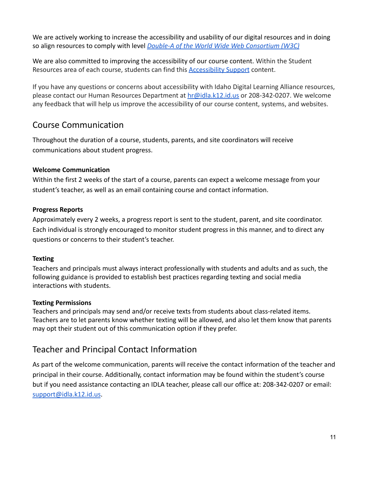We are actively working to increase the accessibility and usability of our digital resources and in doing so align resources to comply with level *Double-A of [the World Wide Web Consortium \(W3C\)](https://www.w3.org/TR/WCAG20/)*

We are also committed to improving the accessibility of our course content. Within the Student Resources area of each course, students can find this **[Accessibility Support](https://idla.coursearc.com/index.php?cID=12392)** content.

If you have any questions or concerns about accessibility with Idaho Digital Learning Alliance resources, please contact our Human Resources Department at [hr@idla.k12.id.us](mailto:hr@idla.k12.id.us) or 208-342-0207. We welcome any feedback that will help us improve the accessibility of our course content, systems, and websites.

# <span id="page-10-0"></span>Course Communication

Throughout the duration of a course, students, parents, and site coordinators will receive communications about student progress.

### **Welcome Communication**

Within the first 2 weeks of the start of a course, parents can expect a welcome message from your student's teacher, as well as an email containing course and contact information.

### **Progress Reports**

Approximately every 2 weeks, a progress report is sent to the student, parent, and site coordinator. Each individual is strongly encouraged to monitor student progress in this manner, and to direct any questions or concerns to their student's teacher.

### **Texting**

Teachers and principals must always interact professionally with students and adults and as such, the following guidance is provided to establish best practices regarding texting and social media interactions with students.

### **Texting Permissions**

Teachers and principals may send and/or receive texts from students about class-related items. Teachers are to let parents know whether texting will be allowed, and also let them know that parents may opt their student out of this communication option if they prefer.

# <span id="page-10-1"></span>Teacher and Principal Contact Information

As part of the welcome communication, parents will receive the contact information of the teacher and principal in their course. Additionally, contact information may be found within the student's course but if you need assistance contacting an IDLA teacher, please call our office at: 208-342-0207 or email: [support@idla.k12.id.us](mailto:support@idla.k12.id.us).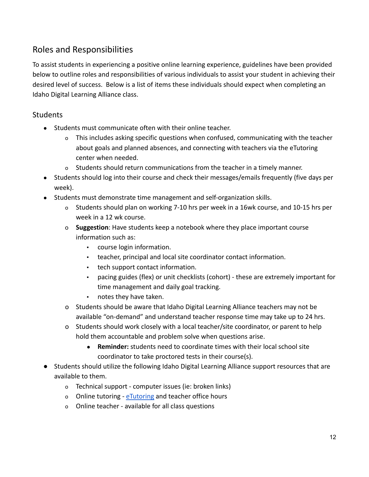# <span id="page-11-0"></span>Roles and Responsibilities

To assist students in experiencing a positive online learning experience, guidelines have been provided below to outline roles and responsibilities of various individuals to assist your student in achieving their desired level of success. Below is a list of items these individuals should expect when completing an Idaho Digital Learning Alliance class.

## <span id="page-11-1"></span>**Students**

- Students must communicate often with their online teacher.
	- o This includes asking specific questions when confused, communicating with the teacher about goals and planned absences, and connecting with teachers via the eTutoring center when needed.
	- o Students should return communications from the teacher in a timely manner.
- Students should log into their course and check their messages/emails frequently (five days per week).
- Students must demonstrate time management and self-organization skills.
	- o Students should plan on working 7-10 hrs per week in a 16wk course, and 10-15 hrs per week in a 12 wk course.
	- o **Suggestion**: Have students keep a notebook where they place important course information such as:
		- course login information.
		- teacher, principal and local site coordinator contact information.
		- tech support contact information.
		- pacing guides (flex) or unit checklists (cohort) these are extremely important for time management and daily goal tracking.
		- notes they have taken.
	- o Students should be aware that Idaho Digital Learning Alliance teachers may not be available "on-demand" and understand teacher response time may take up to 24 hrs.
	- o Students should work closely with a local teacher/site coordinator, or parent to help hold them accountable and problem solve when questions arise.
		- **Reminder:** students need to coordinate times with their local school site coordinator to take proctored tests in their course(s).
- Students should utilize the following Idaho Digital Learning Alliance support resources that are available to them.
	- o Technical support computer issues (ie: broken links)
	- o Online tutoring [eTutoring](https://cdnapisec.kaltura.com/index.php/extwidget/preview/partner_id/2009391/uiconf_id/44374732/entry_id/1_cr14fv75/embed/dynamic) and teacher office hours
	- o Online teacher available for all class questions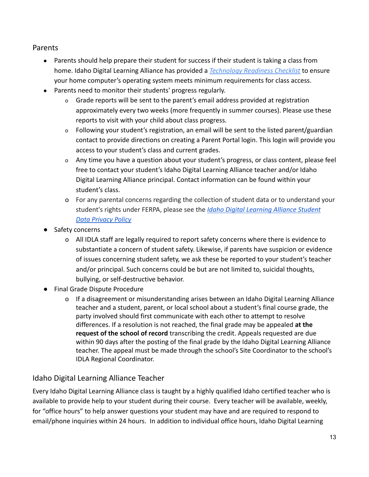## <span id="page-12-0"></span>Parents

- Parents should help prepare their student for success if their student is taking a class from home. Idaho Digital Learning Alliance has provided a *[Technology Readiness Checklist](http://www.idahodigitallearning.org/Students/GettingStarted/TechnicalRequirements.aspx)* to ensure your home computer's operating system meets minimum requirements for class access.
- Parents need to monitor their students' progress regularly.
	- o Grade reports will be sent to the parent's email address provided at registration approximately every two weeks (more frequently in summer courses). Please use these reports to visit with your child about class progress.
	- o Following your student's registration, an email will be sent to the listed parent/guardian contact to provide directions on creating a Parent Portal login. This login will provide you access to your student's class and current grades.
	- o Any time you have a question about your student's progress, or class content, please feel free to contact your student's Idaho Digital Learning Alliance teacher and/or Idaho Digital Learning Alliance principal. Contact information can be found within your student's class.
	- o For any parental concerns regarding the collection of student data or to understand your student's rights under FERPA, please see the *Idaho [Digital Learning Alliance Student](https://www.idahodigitallearning.org/privacy/) [Data Privacy Policy](https://www.idahodigitallearning.org/privacy/)*
- Safety concerns
	- o All IDLA staff are legally required to report safety concerns where there is evidence to substantiate a concern of student safety. Likewise, if parents have suspicion or evidence of issues concerning student safety, we ask these be reported to your student's teacher and/or principal. Such concerns could be but are not limited to, suicidal thoughts, bullying, or self-destructive behavior.
- Final Grade Dispute Procedure
	- o If a disagreement or misunderstanding arises between an Idaho Digital Learning Alliance teacher and a student, parent, or local school about a student's final course grade, the party involved should first communicate with each other to attempt to resolve differences. If a resolution is not reached, the final grade may be appealed **at the request of the school of record** transcribing the credit. Appeals requested are due within 90 days after the posting of the final grade by the Idaho Digital Learning Alliance teacher. The appeal must be made through the school's Site Coordinator to the school's IDLA Regional Coordinator.

## <span id="page-12-1"></span>Idaho Digital Learning Alliance Teacher

Every Idaho Digital Learning Alliance class is taught by a highly qualified Idaho certified teacher who is available to provide help to your student during their course. Every teacher will be available, weekly, for "office hours" to help answer questions your student may have and are required to respond to email/phone inquiries within 24 hours. In addition to individual office hours, Idaho Digital Learning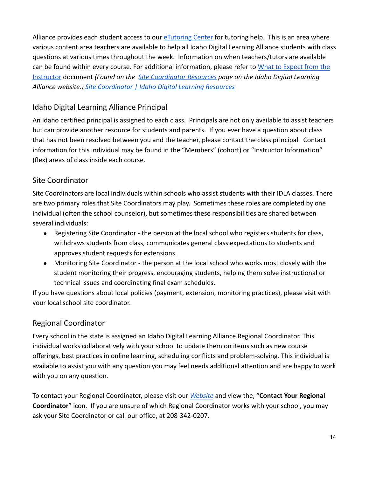Alliance provides each student access to our [eTutoring Center](https://cdnapisec.kaltura.com/index.php/extwidget/preview/partner_id/2009391/uiconf_id/44374732/entry_id/1_cr14fv75/embed/dynamic) for tutoring help. This is an area where various content area teachers are available to help all Idaho Digital Learning Alliance students with class questions at various times throughout the week. Information on when teachers/tutors are available can be found within every course. For additional information, please refer to [What to Expect from the](https://drive.google.com/file/d/1rH-z1Ui4EeMxWB3DvRjW7-NeMz4a3D2A/view?usp=sharing) [Instructor](https://drive.google.com/file/d/1rH-z1Ui4EeMxWB3DvRjW7-NeMz4a3D2A/view?usp=sharing) document *(Found on the [Site Coordinator](https://www.idahodigitallearning.org/site-coordinators/resources/) Resources page on the Idaho Digital Learning Alliance website.) [Site Coordinator | Idaho Digital](https://www.idahodigitallearning.org/site-coordinators/resources/) Learning Resources*

## <span id="page-13-0"></span>Idaho Digital Learning Alliance Principal

An Idaho certified principal is assigned to each class. Principals are not only available to assist teachers but can provide another resource for students and parents. If you ever have a question about class that has not been resolved between you and the teacher, please contact the class principal. Contact information for this individual may be found in the "Members" (cohort) or "Instructor Information" (flex) areas of class inside each course.

## <span id="page-13-1"></span>Site Coordinator

Site Coordinators are local individuals within schools who assist students with their IDLA classes. There are two primary roles that Site Coordinators may play. Sometimes these roles are completed by one individual (often the school counselor), but sometimes these responsibilities are shared between several individuals:

- Registering Site Coordinator the person at the local school who registers students for class, withdraws students from class, communicates general class expectations to students and approves student requests for extensions.
- Monitoring Site Coordinator the person at the local school who works most closely with the student monitoring their progress, encouraging students, helping them solve instructional or technical issues and coordinating final exam schedules.

If you have questions about local policies (payment, extension, monitoring practices), please visit with your local school site coordinator.

## <span id="page-13-2"></span>Regional Coordinator

Every school in the state is assigned an Idaho Digital Learning Alliance Regional Coordinator. This individual works collaboratively with your school to update them on items such as new course offerings, best practices in online learning, scheduling conflicts and problem-solving. This individual is available to assist you with any question you may feel needs additional attention and are happy to work with you on any question.

To contact your Regional Coordinator, please visit our *[Website](https://www.idahodigitallearning.org/site-coordinators/become-a-site-coordinator/)* and view the, "**Contact Your Regional Coordinator**" icon. If you are unsure of which Regional Coordinator works with your school, you may ask your Site Coordinator or call our office, at 208-342-0207.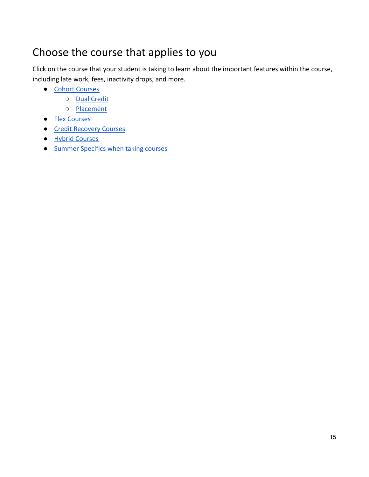# <span id="page-14-0"></span>Choose the course that applies to you

Click on the course that your student is taking to learn about the important features within the course, including late work, fees, inactivity drops, and more.

- [Cohort Courses](#page-15-0)
	- [Dual Credit](#page-17-3)
	- [Placement](#page-19-0)
- [Flex Courses](#page-20-0)
- [Credit Recovery Courses](#page-23-0)
- [Hybrid Courses](#page-24-0)
- [Summer Specifics when taking courses](#page-25-0)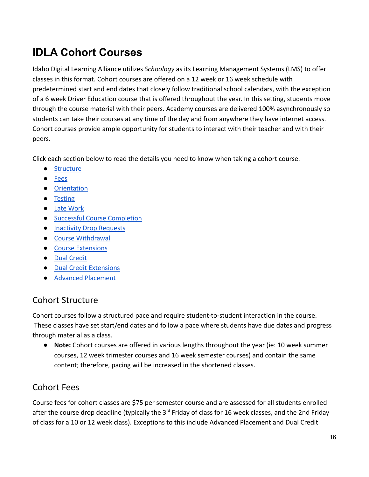# <span id="page-15-0"></span>**IDLA Cohort Courses**

Idaho Digital Learning Alliance utilizes *Schoology* as its Learning Management Systems (LMS) to offer classes in this format. Cohort courses are offered on a 12 week or 16 week schedule with predetermined start and end dates that closely follow traditional school calendars, with the exception of a 6 week Driver Education course that is offered throughout the year. In this setting, students move through the course material with their peers. Academy courses are delivered 100% asynchronously so students can take their courses at any time of the day and from anywhere they have internet access. Cohort courses provide ample opportunity for students to interact with their teacher and with their peers.

Click each section below to read the details you need to know when taking a cohort course.

- [Structure](#page-15-1)
- [Fees](#page-15-2)
- [Orientation](#page-16-0)
- [Testing](#page-16-1)
- [Late Work](#page-16-2)
- [Successful Course Completion](#page-16-3)
- [Inactivity Drop Requests](#page-16-4)
- [Course Withdrawal](#page-17-0)
- [Course Extensions](#page-17-2)
- [Dual Credit](#page-17-3)
- [Dual Credit Extensions](#page-18-0)
- [Advanced Placement](#page-19-0)

## <span id="page-15-1"></span>Cohort Structure

Cohort courses follow a structured pace and require student-to-student interaction in the course. These classes have set start/end dates and follow a pace where students have due dates and progress through material as a class.

● **Note:** Cohort courses are offered in various lengths throughout the year (ie: 10 week summer courses, 12 week trimester courses and 16 week semester courses) and contain the same content; therefore, pacing will be increased in the shortened classes.

# <span id="page-15-2"></span>Cohort Fees

Course fees for cohort classes are \$75 per semester course and are assessed for all students enrolled after the course drop deadline (typically the 3<sup>rd</sup> Friday of class for 16 week classes, and the 2nd Friday of class for a 10 or 12 week class). Exceptions to this include Advanced Placement and Dual Credit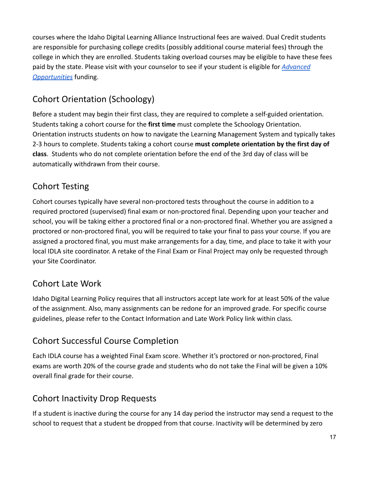courses where the Idaho Digital Learning Alliance Instructional fees are waived. Dual Credit students are responsible for purchasing college credits (possibly additional course material fees) through the college in which they are enrolled. Students taking overload courses may be eligible to have these fees paid by the state. Please visit with your counselor to see if your student is eligible for *[Advanced](https://www.idahodigitallearning.org/students-parents/advanced-opportunities/) [Opportunities](https://www.idahodigitallearning.org/students-parents/advanced-opportunities/)* funding.

# <span id="page-16-0"></span>Cohort Orientation (Schoology)

Before a student may begin their first class, they are required to complete a self-guided orientation. Students taking a cohort course for the **first time** must complete the Schoology Orientation. Orientation instructs students on how to navigate the Learning Management System and typically takes 2-3 hours to complete. Students taking a cohort course **must complete orientation by the first day of class**. Students who do not complete orientation before the end of the 3rd day of class will be automatically withdrawn from their course.

# <span id="page-16-1"></span>Cohort Testing

Cohort courses typically have several non-proctored tests throughout the course in addition to a required proctored (supervised) final exam or non-proctored final. Depending upon your teacher and school, you will be taking either a proctored final or a non-proctored final. Whether you are assigned a proctored or non-proctored final, you will be required to take your final to pass your course. If you are assigned a proctored final, you must make arrangements for a day, time, and place to take it with your local IDLA site coordinator. A retake of the Final Exam or Final Project may only be requested through your Site Coordinator.

# <span id="page-16-2"></span>Cohort Late Work

Idaho Digital Learning Policy requires that all instructors accept late work for at least 50% of the value of the assignment. Also, many assignments can be redone for an improved grade. For specific course guidelines, please refer to the Contact Information and Late Work Policy link within class.

# <span id="page-16-3"></span>Cohort Successful Course Completion

Each IDLA course has a weighted Final Exam score. Whether it's proctored or non-proctored, Final exams are worth 20% of the course grade and students who do not take the Final will be given a 10% overall final grade for their course.

# <span id="page-16-4"></span>Cohort Inactivity Drop Requests

If a student is inactive during the course for any 14 day period the instructor may send a request to the school to request that a student be dropped from that course. Inactivity will be determined by zero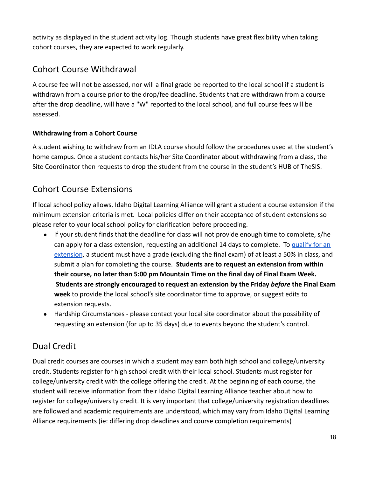activity as displayed in the student activity log. Though students have great flexibility when taking cohort courses, they are expected to work regularly.

# <span id="page-17-0"></span>Cohort Course Withdrawal

A course fee will not be assessed, nor will a final grade be reported to the local school if a student is withdrawn from a course prior to the drop/fee deadline. Students that are withdrawn from a course after the drop deadline, will have a "W" reported to the local school, and full course fees will be assessed.

## <span id="page-17-1"></span>**Withdrawing from a Cohort Course**

A student wishing to withdraw from an IDLA course should follow the procedures used at the student's home campus. Once a student contacts his/her Site Coordinator about withdrawing from a class, the Site Coordinator then requests to drop the student from the course in the student's HUB of TheSIS.

# <span id="page-17-2"></span>Cohort Course Extensions

If local school policy allows, Idaho Digital Learning Alliance will grant a student a course extension if the minimum extension criteria is met. Local policies differ on their acceptance of student extensions so please refer to your local school policy for clarification before proceeding.

- If your student finds that the deadline for class will not provide enough time to complete, s/he can apply for a class extension, requesting an additional 14 days to complete. To [qualify for an](https://idla.coursearc.com/content/template-all-course-items/extension-policy-cohort/extension-policy-details) [extension](https://idla.coursearc.com/content/template-all-course-items/extension-policy-cohort/extension-policy-details), a student must have a grade (excluding the final exam) of at least a 50% in class, and submit a plan for completing the course. **Students are to request an extension from within their course, no later than 5:00 pm Mountain Time on the final day of Final Exam Week. Students are strongly encouraged to request an extension by the Friday** *before* **the Final Exam week** to provide the local school's site coordinator time to approve, or suggest edits to extension requests.
- Hardship Circumstances please contact your local site coordinator about the possibility of requesting an extension (for up to 35 days) due to events beyond the student's control.

# <span id="page-17-3"></span>Dual Credit

Dual credit courses are courses in which a student may earn both high school and college/university credit. Students register for high school credit with their local school. Students must register for college/university credit with the college offering the credit. At the beginning of each course, the student will receive information from their Idaho Digital Learning Alliance teacher about how to register for college/university credit. It is very important that college/university registration deadlines are followed and academic requirements are understood, which may vary from Idaho Digital Learning Alliance requirements (ie: differing drop deadlines and course completion requirements)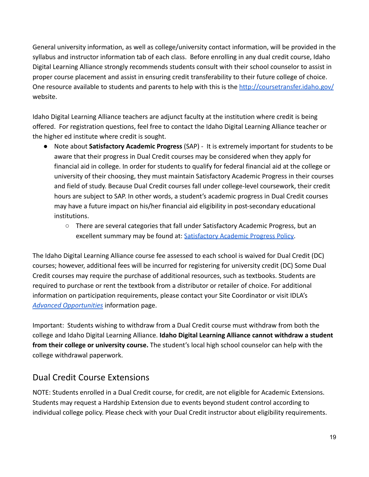General university information, as well as college/university contact information, will be provided in the syllabus and instructor information tab of each class. Before enrolling in any dual credit course, Idaho Digital Learning Alliance strongly recommends students consult with their school counselor to assist in proper course placement and assist in ensuring credit transferability to their future college of choice. One resource available to students and parents to help with this is the <http://coursetransfer.idaho.gov/> website.

Idaho Digital Learning Alliance teachers are adjunct faculty at the institution where credit is being offered. For registration questions, feel free to contact the Idaho Digital Learning Alliance teacher or the higher ed institute where credit is sought.

- Note about **Satisfactory Academic Progress** (SAP) It is extremely important for students to be aware that their progress in Dual Credit courses may be considered when they apply for financial aid in college. In order for students to qualify for federal financial aid at the college or university of their choosing, they must maintain Satisfactory Academic Progress in their courses and field of study. Because Dual Credit courses fall under college-level coursework, their credit hours are subject to SAP. In other words, a student's academic progress in Dual Credit courses may have a future impact on his/her financial aid eligibility in post-secondary educational institutions.
	- There are several categories that fall under Satisfactory Academic Progress, but an excellent summary may be found at: [Satisfactory Academic](http://www.csi.edu/prospectiveStudents_/studentServices/financialAid/sap.asp) Progress Policy.

The Idaho Digital Learning Alliance course fee assessed to each school is waived for Dual Credit (DC) courses; however, additional fees will be incurred for registering for university credit (DC) Some Dual Credit courses may require the purchase of additional resources, such as textbooks. Students are required to purchase or rent the textbook from a distributor or retailer of choice. For additional information on participation requirements, please contact your Site Coordinator or visit IDLA's *[Advanced Opportunities](https://www.idahodigitallearning.org/students-parents/advanced-opportunities/)* information page.

Important: Students wishing to withdraw from a Dual Credit course must withdraw from both the college and Idaho Digital Learning Alliance. **Idaho Digital Learning Alliance cannot withdraw a student from their college or university course.** The student's local high school counselor can help with the college withdrawal paperwork.

# <span id="page-18-0"></span>Dual Credit Course Extensions

NOTE: Students enrolled in a Dual Credit course, for credit, are not eligible for Academic Extensions. Students may request a Hardship Extension due to events beyond student control according to individual college policy. Please check with your Dual Credit instructor about eligibility requirements.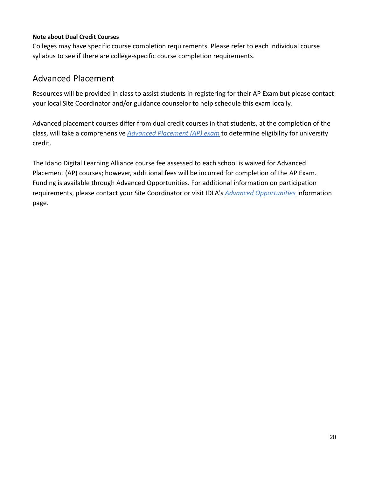#### **Note about Dual Credit Courses**

Colleges may have specific course completion requirements. Please refer to each individual course syllabus to see if there are college-specific course completion requirements.

## <span id="page-19-0"></span>Advanced Placement

Resources will be provided in class to assist students in registering for their AP Exam but please contact your local Site Coordinator and/or guidance counselor to help schedule this exam locally.

Advanced placement courses differ from dual credit courses in that students, at the completion of the class, will take a comprehensive *[Advanced Placement](http://apcentral.collegeboard.com/home) (AP) exam* to determine eligibility for university credit.

The Idaho Digital Learning Alliance course fee assessed to each school is waived for Advanced Placement (AP) courses; however, additional fees will be incurred for completion of the AP Exam. Funding is available through Advanced Opportunities. For additional information on participation requirements, please contact your Site Coordinator or visit IDLA's *[Advanced Opportunities](https://www.idahodigitallearning.org/students-parents/advanced-opportunities/)* information page.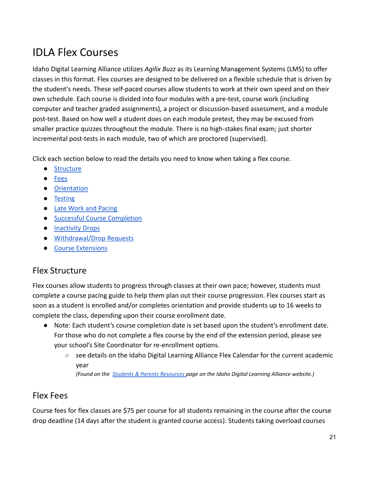# <span id="page-20-0"></span>IDLA Flex Courses

Idaho Digital Learning Alliance utilizes *Agilix Buzz* as its Learning Management Systems (LMS) to offer classes in this format. Flex courses are designed to be delivered on a flexible schedule that is driven by the student's needs. These self-paced courses allow students to work at their own speed and on their own schedule. Each course is divided into four modules with a pre-test, course work (including computer and teacher graded assignments), a project or discussion-based assessment, and a module post-test. Based on how well a student does on each module pretest, they may be excused from smaller practice quizzes throughout the module. There is no high-stakes final exam; just shorter incremental post-tests in each module, two of which are proctored (supervised).

Click each section below to read the details you need to know when taking a flex course.

- [Structure](#page-20-1)
- [Fees](#page-20-2)
- [Orientation](#page-21-0)
- [Testing](#page-21-1)
- [Late Work and Pacing](#page-21-2)
- [Successful Course Completion](#page-21-3)
- [Inactivity Drops](#page-21-4)
- [Withdrawal/Drop Requests](#page-21-5)
- [Course Extensions](#page-22-0)

## <span id="page-20-1"></span>Flex Structure

Flex courses allow students to progress through classes at their own pace; however, students must complete a course pacing guide to help them plan out their course progression. Flex courses start as soon as a student is enrolled and/or completes orientation and provide students up to 16 weeks to complete the class, depending upon their course enrollment date.

- Note: Each student's course completion date is set based upon the student's enrollment date. For those who do not complete a flex course by the end of the extension period, please see your school's Site Coordinator for re-enrollment options.
	- see details on the Idaho Digital Learning Alliance Flex Calendar for the current academic year

*(Found on the Students & Parents [Resources](https://www.idahodigitallearning.org/students-parents/resources/) page on the Idaho Digital Learning Alliance website.)*

## <span id="page-20-2"></span>Flex Fees

Course fees for flex classes are \$75 per course for all students remaining in the course after the course drop deadline (14 days after the student is granted course access). Students taking overload courses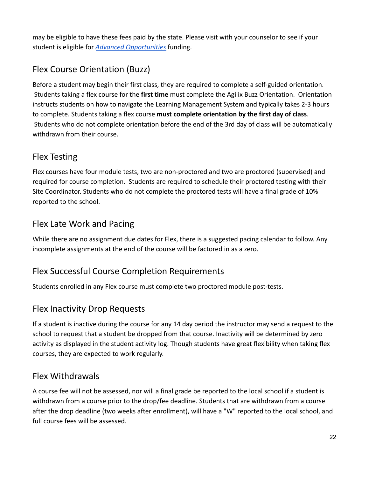may be eligible to have these fees paid by the state. Please visit with your counselor to see if your student is eligible for *[Advanced Opportunities](https://www.idahodigitallearning.org/students-parents/advanced-opportunities/)* funding.

# <span id="page-21-0"></span>Flex Course Orientation (Buzz)

Before a student may begin their first class, they are required to complete a self-guided orientation. Students taking a flex course for the **first time** must complete the Agilix Buzz Orientation. Orientation instructs students on how to navigate the Learning Management System and typically takes 2-3 hours to complete. Students taking a flex course **must complete orientation by the first day of class**. Students who do not complete orientation before the end of the 3rd day of class will be automatically withdrawn from their course.

# <span id="page-21-1"></span>Flex Testing

Flex courses have four module tests, two are non-proctored and two are proctored (supervised) and required for course completion. Students are required to schedule their proctored testing with their Site Coordinator. Students who do not complete the proctored tests will have a final grade of 10% reported to the school.

# <span id="page-21-2"></span>Flex Late Work and Pacing

While there are no assignment due dates for Flex, there is a suggested pacing calendar to follow. Any incomplete assignments at the end of the course will be factored in as a zero.

# <span id="page-21-3"></span>Flex Successful Course Completion Requirements

<span id="page-21-4"></span>Students enrolled in any Flex course must complete two proctored module post-tests.

# Flex Inactivity Drop Requests

If a student is inactive during the course for any 14 day period the instructor may send a request to the school to request that a student be dropped from that course. Inactivity will be determined by zero activity as displayed in the student activity log. Though students have great flexibility when taking flex courses, they are expected to work regularly.

## <span id="page-21-5"></span>Flex Withdrawals

A course fee will not be assessed, nor will a final grade be reported to the local school if a student is withdrawn from a course prior to the drop/fee deadline. Students that are withdrawn from a course after the drop deadline (two weeks after enrollment), will have a "W" reported to the local school, and full course fees will be assessed.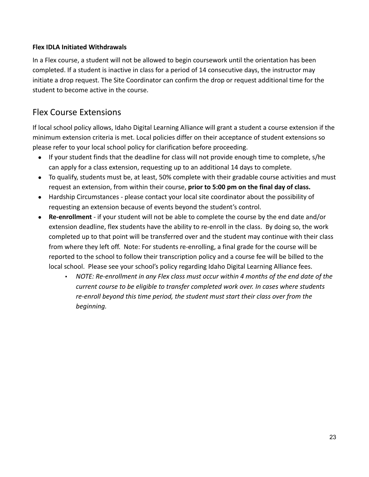### **Flex IDLA Initiated Withdrawals**

In a Flex course, a student will not be allowed to begin coursework until the orientation has been completed. If a student is inactive in class for a period of 14 consecutive days, the instructor may initiate a drop request. The Site Coordinator can confirm the drop or request additional time for the student to become active in the course.

## <span id="page-22-0"></span>Flex Course Extensions

If local school policy allows, Idaho Digital Learning Alliance will grant a student a course extension if the minimum extension criteria is met. Local policies differ on their acceptance of student extensions so please refer to your local school policy for clarification before proceeding.

- If your student finds that the deadline for class will not provide enough time to complete, s/he can apply for a class extension, requesting up to an additional 14 days to complete.
- To qualify, students must be, at least, 50% complete with their gradable course activities and must request an extension, from within their course, **prior to 5:00 pm on the final day of class.**
- Hardship Circumstances please contact your local site coordinator about the possibility of requesting an extension because of events beyond the student's control.
- **Re-enrollment** if your student will not be able to complete the course by the end date and/or extension deadline, flex students have the ability to re-enroll in the class. By doing so, the work completed up to that point will be transferred over and the student may continue with their class from where they left off. Note: For students re-enrolling, a final grade for the course will be reported to the school to follow their transcription policy and a course fee will be billed to the local school. Please see your school's policy regarding Idaho Digital Learning Alliance fees.
	- *NOTE: Re-enrollment in any Flex class must occur within 4 months of the end date of the current course to be eligible to transfer completed work over. In cases where students re-enroll beyond this time period, the student must start their class over from the beginning.*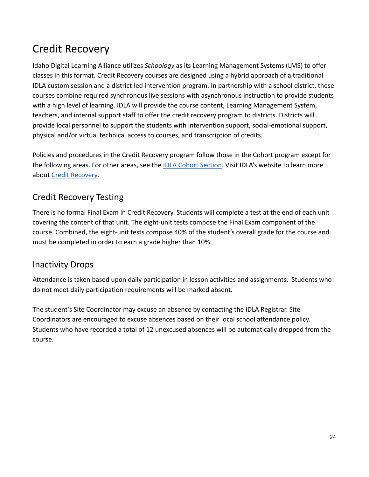# <span id="page-23-0"></span>Credit Recovery

Idaho Digital Learning Alliance utilizes *Schoology* as its Learning Management Systems (LMS) to offer classes in this format. Credit Recovery courses are designed using a hybrid approach of a traditional IDLA custom session and a district-led intervention program. In partnership with a school district, these courses combine required synchronous live sessions with asynchronous instruction to provide students with a high level of learning. IDLA will provide the course content, Learning Management System, teachers, and internal support staff to offer the credit recovery program to districts. Districts will provide local personnel to support the students with intervention support, social-emotional support, physical and/or virtual technical access to courses, and transcription of credits.

Policies and procedures in the Credit Recovery program follow those in the Cohort program except for the following areas. For other areas, see the IDLA [Cohort Section](#page-15-0). Visit IDLA's website to learn more about [Credit Recovery](https://www.idahodigitallearning.org/courses/credit-recovery/).

# <span id="page-23-1"></span>Credit Recovery Testing

There is no formal Final Exam in Credit Recovery. Students will complete a test at the end of each unit covering the content of that unit. The eight-unit tests compose the Final Exam component of the course. Combined, the eight-unit tests compose 40% of the student's overall grade for the course and must be completed in order to earn a grade higher than 10%.

## <span id="page-23-2"></span>Inactivity Drops

Attendance is taken based upon daily participation in lesson activities and assignments. Students who do not meet daily participation requirements will be marked absent.

The student's Site Coordinator may excuse an absence by contacting the IDLA Registrar. Site Coordinators are encouraged to excuse absences based on their local school attendance policy. Students who have recorded a total of 12 unexcused absences will be automatically dropped from the course.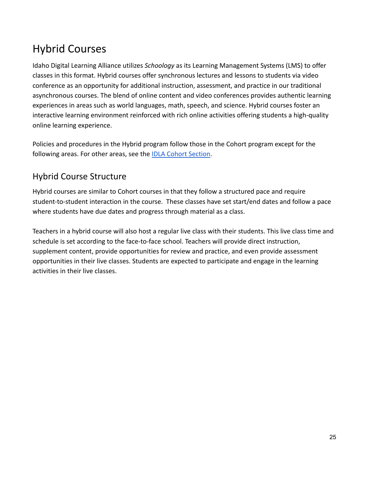# <span id="page-24-0"></span>Hybrid Courses

Idaho Digital Learning Alliance utilizes *Schoology* as its Learning Management Systems (LMS) to offer classes in this format. Hybrid courses offer synchronous lectures and lessons to students via video conference as an opportunity for additional instruction, assessment, and practice in our traditional asynchronous courses. The blend of online content and video conferences provides authentic learning experiences in areas such as world languages, math, speech, and science. Hybrid courses foster an interactive learning environment reinforced with rich online activities offering students a high-quality online learning experience.

Policies and procedures in the Hybrid program follow those in the Cohort program except for the following areas. For other areas, see the [IDLA Cohort](#page-15-0) Section.

# <span id="page-24-1"></span>Hybrid Course Structure

Hybrid courses are similar to Cohort courses in that they follow a structured pace and require student-to-student interaction in the course. These classes have set start/end dates and follow a pace where students have due dates and progress through material as a class.

Teachers in a hybrid course will also host a regular live class with their students. This live class time and schedule is set according to the face-to-face school. Teachers will provide direct instruction, supplement content, provide opportunities for review and practice, and even provide assessment opportunities in their live classes. Students are expected to participate and engage in the learning activities in their live classes.